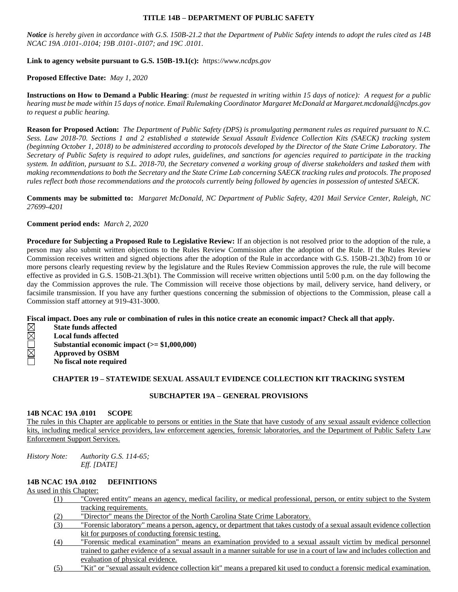### **TITLE 14B – DEPARTMENT OF PUBLIC SAFETY**

*Notice is hereby given in accordance with G.S. 150B-21.2 that the Department of Public Safety intends to adopt the rules cited as 14B NCAC 19A .0101-.0104; 19B .0101-.0107; and 19C .0101.*

### **Link to agency website pursuant to G.S. 150B-19.1(c):** *https://www.ncdps.gov*

### **Proposed Effective Date:** *May 1, 2020*

**Instructions on How to Demand a Public Hearing**: *(must be requested in writing within 15 days of notice): A request for a public hearing must be made within 15 days of notice. Email Rulemaking Coordinator Margaret McDonald at Margaret.mcdonald@ncdps.gov to request a public hearing.*

**Reason for Proposed Action:** *The Department of Public Safety (DPS) is promulgating permanent rules as required pursuant to N.C. Sess. Law 2018-70. Sections 1 and 2 established a statewide Sexual Assault Evidence Collection Kits (SAECK) tracking system (beginning October 1, 2018) to be administered according to protocols developed by the Director of the State Crime Laboratory. The Secretary of Public Safety is required to adopt rules, guidelines, and sanctions for agencies required to participate in the tracking system. In addition, pursuant to S.L. 2018-70, the Secretary convened a working group of diverse stakeholders and tasked them with making recommendations to both the Secretary and the State Crime Lab concerning SAECK tracking rules and protocols. The proposed rules reflect both those recommendations and the protocols currently being followed by agencies in possession of untested SAECK.*

**Comments may be submitted to:** *Margaret McDonald, NC Department of Public Safety, 4201 Mail Service Center, Raleigh, NC 27699-4201*

### **Comment period ends:** *March 2, 2020*

**Procedure for Subjecting a Proposed Rule to Legislative Review:** If an objection is not resolved prior to the adoption of the rule, a person may also submit written objections to the Rules Review Commission after the adoption of the Rule. If the Rules Review Commission receives written and signed objections after the adoption of the Rule in accordance with G.S. 150B-21.3(b2) from 10 or more persons clearly requesting review by the legislature and the Rules Review Commission approves the rule, the rule will become effective as provided in G.S. 150B-21.3(b1). The Commission will receive written objections until 5:00 p.m. on the day following the day the Commission approves the rule. The Commission will receive those objections by mail, delivery service, hand delivery, or facsimile transmission. If you have any further questions concerning the submission of objections to the Commission, please call a Commission staff attorney at 919-431-3000.

### **Fiscal impact. Does any rule or combination of rules in this notice create an economic impact? Check all that apply.**

- **RKORK State funds affected**
- **Local funds affected**
- **Substantial economic impact (>= \$1,000,000)**
- **Approved by OSBM**
- **No fiscal note required**

## **CHAPTER 19 – STATEWIDE SEXUAL ASSAULT EVIDENCE COLLECTION KIT TRACKING SYSTEM**

### **SUBCHAPTER 19A – GENERAL PROVISIONS**

### **14B NCAC 19A .0101 SCOPE**

The rules in this Chapter are applicable to persons or entities in the State that have custody of any sexual assault evidence collection kits, including medical service providers, law enforcement agencies, forensic laboratories, and the Department of Public Safety Law Enforcement Support Services.

*History Note: Authority G.S. 114-65; Eff. [DATE]*

## **14B NCAC 19A .0102 DEFINITIONS**

## As used in this Chapter:

- (1) "Covered entity" means an agency, medical facility, or medical professional, person, or entity subject to the System tracking requirements.
- (2) "Director" means the Director of the North Carolina State Crime Laboratory.
- (3) "Forensic laboratory" means a person, agency, or department that takes custody of a sexual assault evidence collection kit for purposes of conducting forensic testing.
- (4) "Forensic medical examination" means an examination provided to a sexual assault victim by medical personnel trained to gather evidence of a sexual assault in a manner suitable for use in a court of law and includes collection and evaluation of physical evidence.
- (5) "Kit" or "sexual assault evidence collection kit" means a prepared kit used to conduct a forensic medical examination.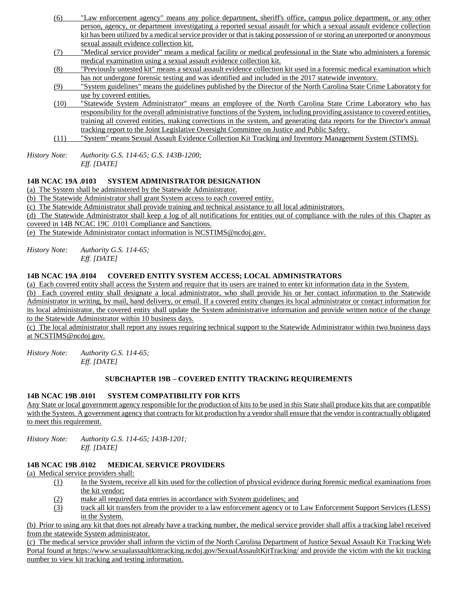- (6) "Law enforcement agency" means any police department, sheriff's office, campus police department, or any other person, agency, or department investigating a reported sexual assault for which a sexual assault evidence collection kit has been utilized by a medical service provider or that is taking possession of or storing an unreported or anonymous sexual assault evidence collection kit.
- (7) "Medical service provider" means a medical facility or medical professional in the State who administers a forensic medical examination using a sexual assault evidence collection kit.
- (8) "Previously untested kit" means a sexual assault evidence collection kit used in a forensic medical examination which has not undergone forensic testing and was identified and included in the 2017 statewide inventory.
- (9) "System guidelines" means the guidelines published by the Director of the North Carolina State Crime Laboratory for use by covered entities.
- (10) "Statewide System Administrator" means an employee of the North Carolina State Crime Laboratory who has responsibility for the overall administrative functions of the System, including providing assistance to covered entities, training all covered entities, making corrections in the system, and generating data reports for the Director's annual tracking report to the Joint Legislative Oversight Committee on Justice and Public Safety.
- (11) "System" means Sexual Assault Evidence Collection Kit Tracking and Inventory Management System (STIMS).

*History Note: Authority G.S. 114-65; G.S. 143B-1200; Eff. [DATE]*

# **14B NCAC 19A .0103 SYSTEM ADMINISTRATOR DESIGNATION**

(a) The System shall be administered by the Statewide Administrator.

(b) The Statewide Administrator shall grant System access to each covered entity.

(c) The Statewide Administrator shall provide training and technical assistance to all local administrators.

(d) The Statewide Administrator shall keep a log of all notifications for entities out of compliance with the rules of this Chapter as covered in 14B NCAC 19C .0101 Compliance and Sanctions.

(e) The Statewide Administrator contact information is NCSTIMS@ncdoj.gov.

*History Note: Authority G.S. 114-65; Eff. [DATE]*

# **14B NCAC 19A .0104 COVERED ENTITY SYSTEM ACCESS; LOCAL ADMINISTRATORS**

(a) Each covered entity shall access the System and require that its users are trained to enter kit information data in the System.

(b) Each covered entity shall designate a local administrator, who shall provide his or her contact information to the Statewide Administrator in writing, by mail, hand delivery, or email. If a covered entity changes its local administrator or contact information for its local administrator, the covered entity shall update the System administrative information and provide written notice of the change to the Statewide Administrator within 10 business days.

(c) The local administrator shall report any issues requiring technical support to the Statewide Administrator within two business days at NCSTIMS@ncdoj.gov.

*History Note: Authority G.S. 114-65; Eff. [DATE]*

# **SUBCHAPTER 19B – COVERED ENTITY TRACKING REQUIREMENTS**

# **14B NCAC 19B .0101 SYSTEM COMPATIBILITY FOR KITS**

Any State or local government agency responsible for the production of kits to be used in this State shall produce kits that are compatible with the System. A government agency that contracts for kit production by a vendor shall ensure that the vendor is contractually obligated to meet this requirement.

*History Note: Authority G.S. 114-65; 143B-1201; Eff. [DATE]*

# **14B NCAC 19B .0102 MEDICAL SERVICE PROVIDERS**

(a) Medical service providers shall:

- (1) In the System, receive all kits used for the collection of physical evidence during forensic medical examinations from the kit vendor;
- (2) make all required data entries in accordance with System guidelines; and
- (3) track all kit transfers from the provider to a law enforcement agency or to Law Enforcement Support Services (LESS) in the System.

(b) Prior to using any kit that does not already have a tracking number, the medical service provider shall affix a tracking label received from the statewide System administrator.

(c) The medical service provider shall inform the victim of the North Carolina Department of Justice Sexual Assault Kit Tracking Web Portal found at https://www.sexualassaultkittracking.ncdoj.gov/SexualAssaultKitTracking/ and provide the victim with the kit tracking number to view kit tracking and testing information.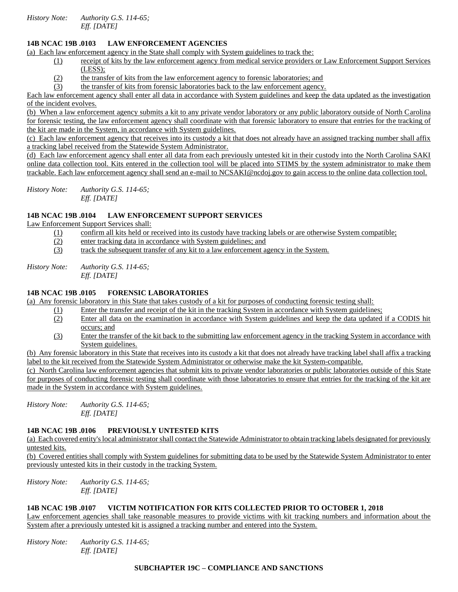*History Note: Authority G.S. 114-65; Eff. [DATE]*

## **14B NCAC 19B .0103 LAW ENFORCEMENT AGENCIES**

(a) Each law enforcement agency in the State shall comply with System guidelines to track the:

- (1) receipt of kits by the law enforcement agency from medical service providers or Law Enforcement Support Services (LESS);
- (2) the transfer of kits from the law enforcement agency to forensic laboratories; and
- (3) the transfer of kits from forensic laboratories back to the law enforcement agency.

Each law enforcement agency shall enter all data in accordance with System guidelines and keep the data updated as the investigation of the incident evolves.

(b) When a law enforcement agency submits a kit to any private vendor laboratory or any public laboratory outside of North Carolina for forensic testing, the law enforcement agency shall coordinate with that forensic laboratory to ensure that entries for the tracking of the kit are made in the System, in accordance with System guidelines.

(c) Each law enforcement agency that receives into its custody a kit that does not already have an assigned tracking number shall affix a tracking label received from the Statewide System Administrator.

(d) Each law enforcement agency shall enter all data from each previously untested kit in their custody into the North Carolina SAKI online data collection tool. Kits entered in the collection tool will be placed into STIMS by the system administrator to make them trackable. Each law enforcement agency shall send an e-mail to NCSAKI@ncdoj.gov to gain access to the online data collection tool.

*History Note: Authority G.S. 114-65; Eff. [DATE]*

# **14B NCAC 19B .0104 LAW ENFORCEMENT SUPPORT SERVICES**

Law Enforcement Support Services shall:

- (1) confirm all kits held or received into its custody have tracking labels or are otherwise System compatible;
- (2) enter tracking data in accordance with System guidelines; and
- (3) track the subsequent transfer of any kit to a law enforcement agency in the System.

*History Note: Authority G.S. 114-65; Eff. [DATE]*

### **14B NCAC 19B .0105 FORENSIC LABORATORIES**

(a) Any forensic laboratory in this State that takes custody of a kit for purposes of conducting forensic testing shall:

- (1) Enter the transfer and receipt of the kit in the tracking System in accordance with System guidelines;
- (2) Enter all data on the examination in accordance with System guidelines and keep the data updated if a CODIS hit occurs; and
- (3) Enter the transfer of the kit back to the submitting law enforcement agency in the tracking System in accordance with System guidelines.

(b) Any forensic laboratory in this State that receives into its custody a kit that does not already have tracking label shall affix a tracking label to the kit received from the Statewide System Administrator or otherwise make the kit System-compatible.

(c) North Carolina law enforcement agencies that submit kits to private vendor laboratories or public laboratories outside of this State for purposes of conducting forensic testing shall coordinate with those laboratories to ensure that entries for the tracking of the kit are made in the System in accordance with System guidelines.

*History Note: Authority G.S. 114-65; Eff. [DATE]*

### **14B NCAC 19B .0106 PREVIOUSLY UNTESTED KITS**

(a) Each covered entity's local administrator shall contact the Statewide Administrator to obtain tracking labels designated for previously untested kits.

(b) Covered entities shall comply with System guidelines for submitting data to be used by the Statewide System Administrator to enter previously untested kits in their custody in the tracking System.

*History Note: Authority G.S. 114-65; Eff. [DATE]*

#### **14B NCAC 19B .0107 VICTIM NOTIFICATION FOR KITS COLLECTED PRIOR TO OCTOBER 1, 2018**

Law enforcement agencies shall take reasonable measures to provide victims with kit tracking numbers and information about the System after a previously untested kit is assigned a tracking number and entered into the System.

*History Note: Authority G.S. 114-65; Eff. [DATE]*